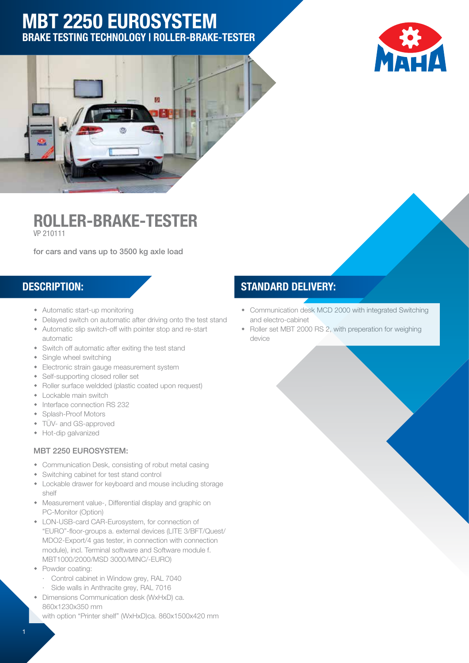# MBT 2250 EUROSYSTEM Brake Testing Technology | Roller-Brake-Tester





Roller-Brake-Tester VP 210111

for cars and vans up to 3500 kg axle load

- Automatic start-up monitoring
- Delayed switch on automatic after driving onto the test stand
- Automatic slip switch-off with pointer stop and re-start automatic
- Switch off automatic after exiting the test stand
- Single wheel switching
- Electronic strain gauge measurement system
- Self-supporting closed roller set
- Roller surface weldded (plastic coated upon request)
- Lockable main switch
- Interface connection RS 232
- Splash-Proof Motors
- TÜV- and GS-approved
- Hot-dip galvanized

#### MBT 2250 EUROSYSTEM:

- Communication Desk, consisting of robut metal casing
- Switching cabinet for test stand control
- Lockable drawer for keyboard and mouse including storage shelf
- Measurement value-, Differential display and graphic on PC-Monitor (Option)
- LON-USB-card CAR-Eurosystem, for connection of "EURO"-floor-groups a. external devices (LITE 3/BFT/Quest/ MDO2-Export/4 gas tester, in connection with connection module), incl. Terminal software and Software module f. MBT1000/2000/MSD 3000/MINC/-EURO)
- Powder coating:
	- · Control cabinet in Window grey, RAL 7040
	- · Side walls in Anthracite grey, RAL 7016
- Dimensions Communication desk (WxHxD) ca. 860x1230x350 mm

with option "Printer shelf" (WxHxD)ca. 860x1500x420 mm

#### DESCRIPTION: STANDARD DELIVERY:

- Communication desk MCD 2000 with integrated Switching and electro-cabinet
- Roller set MBT 2000 RS 2, with preperation for weighing device